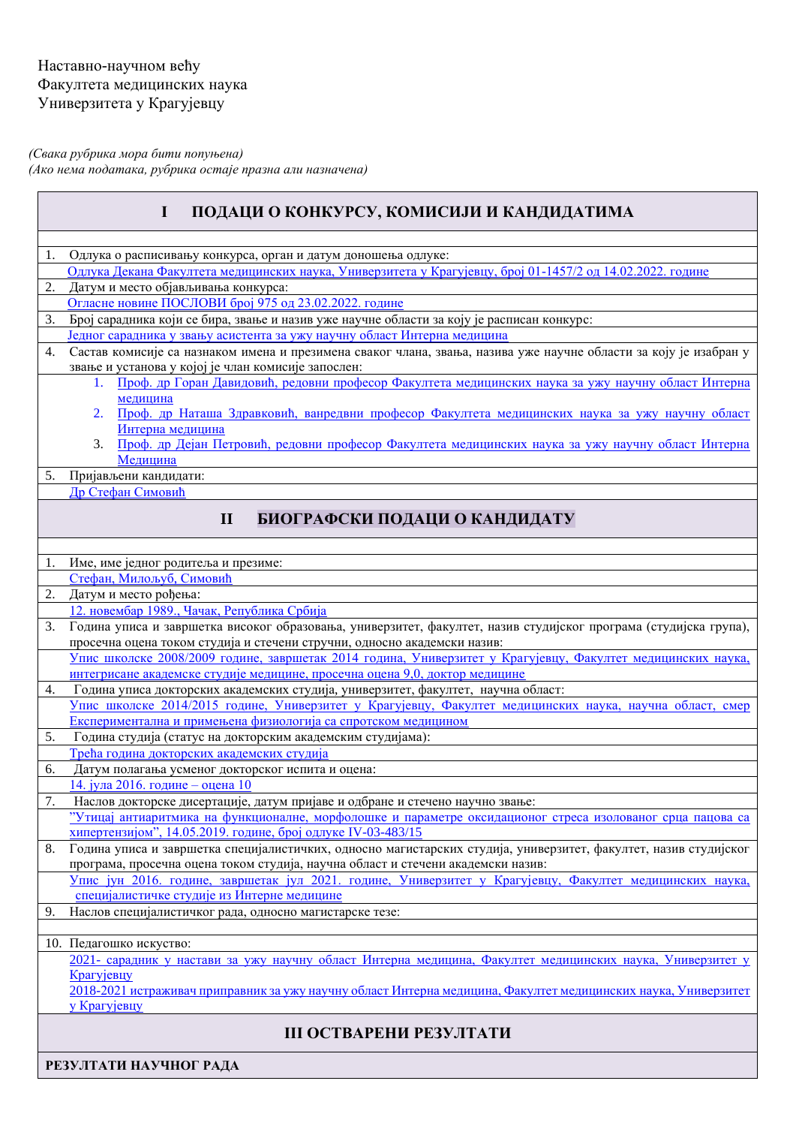*(Свака рубрика мора бити попуњена) (Ако нема података, рубрика остаје празна али назначена)* 

<span id="page-0-0"></span>

| ПОДАЦИ О КОНКУРСУ, КОМИСИЈИ И КАНДИДАТИМА<br>$\mathbf I$ |                                                                                                                                                                                            |  |  |  |
|----------------------------------------------------------|--------------------------------------------------------------------------------------------------------------------------------------------------------------------------------------------|--|--|--|
|                                                          |                                                                                                                                                                                            |  |  |  |
|                                                          | Одлука о расписивању конкурса, орган и датум доношења одлуке:                                                                                                                              |  |  |  |
|                                                          | Одлука Декана Факултета медицинских наука, Универзитета у Крагујевцу, број 01-1457/2 од 14.02.2022. године                                                                                 |  |  |  |
| 2.                                                       | Датум и место објављивања конкурса:                                                                                                                                                        |  |  |  |
|                                                          | Огласне новине ПОСЛОВИ број 975 од 23.02.2022. године                                                                                                                                      |  |  |  |
| 3.                                                       | Број сарадника који се бира, звање и назив уже научне области за коју је расписан конкурс:                                                                                                 |  |  |  |
|                                                          | Једног сарадника у звању асистента за ужу научну област Интерна медицина                                                                                                                   |  |  |  |
| 4.                                                       | Састав комисије са назнаком имена и презимена сваког члана, звања, назива уже научне области за коју је изабран у<br>звање и установа у којој је члан комисије запослен:                   |  |  |  |
|                                                          | 1. Проф. др Горан Давидовић, редовни професор Факултета медицинских наука за ужу научну област Интерна                                                                                     |  |  |  |
|                                                          | медицина<br>Проф. др Наташа Здравковић, ванредвни професор Факултета медицинских наука за ужу научну област<br>2.                                                                          |  |  |  |
|                                                          | Интерна медицина<br>Проф. др Дејан Петровић, редовни професор Факултета медицинских наука за ужу научну област Интерна<br>3.                                                               |  |  |  |
|                                                          | Медицина                                                                                                                                                                                   |  |  |  |
| 5.                                                       | Пријављени кандидати:                                                                                                                                                                      |  |  |  |
|                                                          | Др Стефан Симовић                                                                                                                                                                          |  |  |  |
|                                                          | $\mathbf{I}$<br>БИОГРАФСКИ ПОДАЦИ О КАНДИДАТУ                                                                                                                                              |  |  |  |
|                                                          |                                                                                                                                                                                            |  |  |  |
| 1.                                                       | Име, име једног родитеља и презиме:                                                                                                                                                        |  |  |  |
|                                                          | Стефан, Милољуб, Симовић                                                                                                                                                                   |  |  |  |
| 2.                                                       | Датум и место рођења:                                                                                                                                                                      |  |  |  |
|                                                          | 12. новембар 1989., Чачак, Република Србија                                                                                                                                                |  |  |  |
| 3.                                                       | Година уписа и завршетка високог образовања, универзитет, факултет, назив студијског програма (студијска група),                                                                           |  |  |  |
|                                                          | просечна оцена током студија и стечени стручни, односно академски назив:                                                                                                                   |  |  |  |
|                                                          | Упис школске 2008/2009 године, завршетак 2014 година, Универзитет у Крагујевцу, Факултет медицинских наука,<br>интегрисане академске студије медицине, просечна оцена 9,0, доктор медицине |  |  |  |
| 4.                                                       | Година уписа докторских академских студија, универзитет, факултет, научна област:                                                                                                          |  |  |  |
|                                                          | Упис школске 2014/2015 године, Универзитет у Крагујевцу, Факултет медицинских наука, научна област, смер                                                                                   |  |  |  |
|                                                          | Експериментална и примењена физиологија са спротском медицином                                                                                                                             |  |  |  |
| 5.                                                       | Година студија (статус на докторским академским студијама):                                                                                                                                |  |  |  |
|                                                          | Трећа година докторских академских студија                                                                                                                                                 |  |  |  |
| 6.                                                       | Датум полагања усменог докторског испита и оцена:                                                                                                                                          |  |  |  |
|                                                          | <u> 14. јула 2016. године – оцена 10</u>                                                                                                                                                   |  |  |  |
| 7.                                                       | Наслов докторске дисертације, датум пријаве и одбране и стечено научно звање:                                                                                                              |  |  |  |
|                                                          | "Утицај антиаритмика на функционалне, морфолошке и параметре оксидационог стреса изолованог срца пацова са<br>хипертензијом", 14.05.2019. године, број одлуке IV-03-483/15                 |  |  |  |
| 8.                                                       | Година уписа и завршетка специјалистичких, односно магистарских студија, универзитет, факултет, назив студијског                                                                           |  |  |  |
|                                                          | програма, просечна оцена током студија, научна област и стечени академски назив:                                                                                                           |  |  |  |
|                                                          | Упис јун 2016. године, завршетак јул 2021. године, Универзитет у Крагујевцу, Факултет медицинских наука,                                                                                   |  |  |  |
|                                                          | специјалистичке студије из Интерне медицине                                                                                                                                                |  |  |  |
| 9.                                                       | Наслов специјалистичког рада, односно магистарске тезе:                                                                                                                                    |  |  |  |
|                                                          |                                                                                                                                                                                            |  |  |  |
|                                                          | 10. Педагошко искуство:                                                                                                                                                                    |  |  |  |
|                                                          | 2021- сарадник у настави за ужу научну област Интерна медицина, Факултет медицинских наука, Универзитет у<br>Крагујевцу                                                                    |  |  |  |
|                                                          | 2018-2021 истраживач приправник за ужу научну област Интерна медицина, Факултет медицинских наука, Универзитет<br>у Крагујевцу                                                             |  |  |  |
| <b>III ОСТВАРЕНИ РЕЗУЛТАТИ</b>                           |                                                                                                                                                                                            |  |  |  |
|                                                          | РЕЗУЛТАТИ НАУЧНОГ РАДА                                                                                                                                                                     |  |  |  |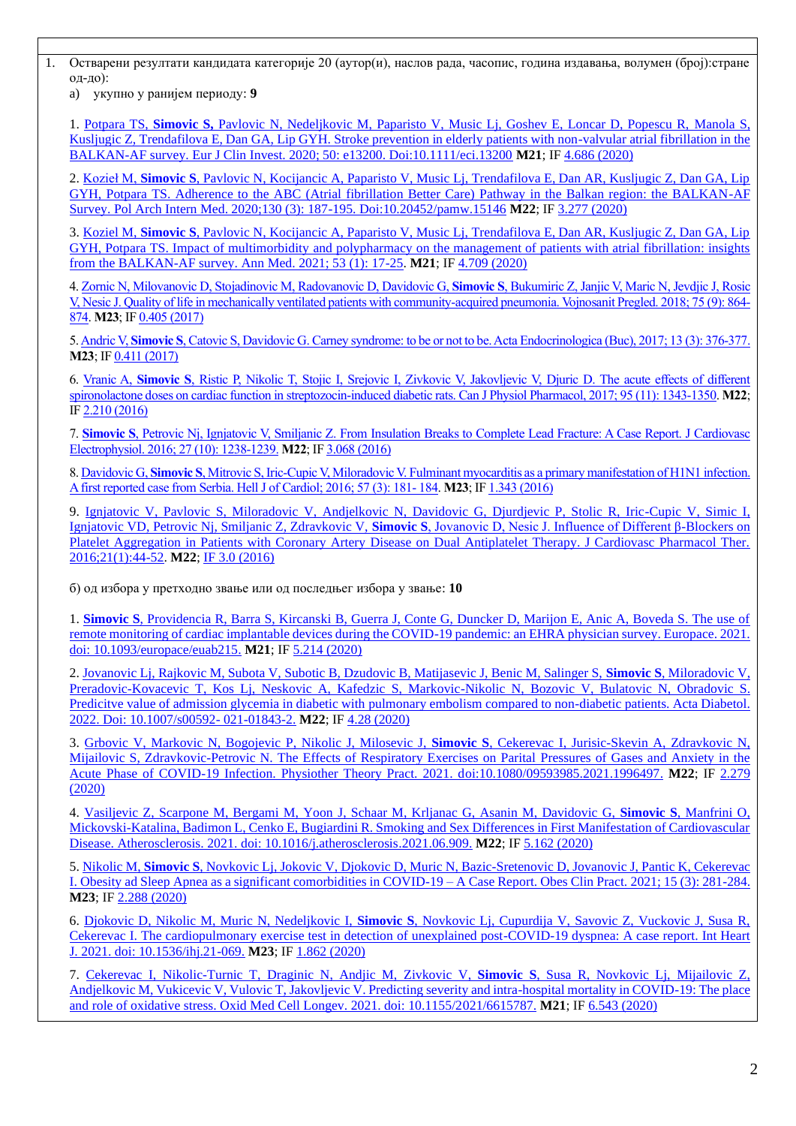1. Остварени резултати кандидата категорије 20 (аутор(и), наслов рада, часопис, година издавања, волумен (број):стране од-до):

a) укупно у ранијем периоду: **9**

1. Potpara TS, **Simovic S,** [Pavlovic N, Nedeljkovic M, Paparisto V, Music Lj, Goshev E, Loncar D, Popescu R, Manola S,](file:///C:/Users/Ivan%20Srejovic/AppData/Local/Temp/7zO4229DF4A/III%20REZULTATI%20NAUCNOG%20RADA/M20/raniji%20period/7.pdf)  [Kusljugic Z, Trendafilova E, Dan GA, Lip GYH. Stroke prevention in elderly patients with non-valvular atrial fibrillation in the](file:///C:/Users/Ivan%20Srejovic/AppData/Local/Temp/7zO4229DF4A/III%20REZULTATI%20NAUCNOG%20RADA/M20/raniji%20period/7.pdf)  [BALKAN-AF survey. Eur J Clin Invest. 2020; 50: e13200. Doi:10.1111/eci.13200](file:///C:/Users/Ivan%20Srejovic/AppData/Local/Temp/7zO4229DF4A/III%20REZULTATI%20NAUCNOG%20RADA/M20/raniji%20period/7.pdf) **M21**; IF [4.686 \(2020\)](https://ezproxy.nb.rs:2058/servisi.131.html?jid=373686)

2. Kozieł M, **Simovic S**[, Pavlovic N, Kocijancic A, Paparisto V, Music Lj, Trendafilova E, Dan AR, Kusljugic Z, Dan GA, Lip](file:///C:/Users/Ivan%20Srejovic/AppData/Local/Temp/7zO4229DF4A/III%20REZULTATI%20NAUCNOG%20RADA/M20/raniji%20period/9.pdf)  [GYH, Potpara TS. Adherence to the ABC \(Atrial fibrillation Better Care\) Pathway in the Balkan region: the BALKAN-AF](file:///C:/Users/Ivan%20Srejovic/AppData/Local/Temp/7zO4229DF4A/III%20REZULTATI%20NAUCNOG%20RADA/M20/raniji%20period/9.pdf)  [Survey. Pol Arch Intern Med. 2020;130 \(3\): 187-195. Doi:10.20452/pamw.15146](file:///C:/Users/Ivan%20Srejovic/AppData/Local/Temp/7zO4229DF4A/III%20REZULTATI%20NAUCNOG%20RADA/M20/raniji%20period/9.pdf) **M22**; IF 3.277 [\(2020\)](https://ezproxy.nb.rs:2058/servisi.131.html?jid=392188)

3. Koziel M, **Simovic S**[, Pavlovic N, Kocijancic A, Paparisto V, Music Lj, Trendafilova E, Dan AR, Kusljugic Z, Dan GA, Lip](file:///C:/Users/Ivan%20Srejovic/AppData/Local/Temp/7zO4229DF4A/III%20REZULTATI%20NAUCNOG%20RADA/M20/raniji%20period/8.pdf)  GYH, Potpara TS. Impact of multimorbidity [and polypharmacy on the management of patients with atrial fibrillation: insights](file:///C:/Users/Ivan%20Srejovic/AppData/Local/Temp/7zO4229DF4A/III%20REZULTATI%20NAUCNOG%20RADA/M20/raniji%20period/8.pdf)  [from the BALKAN-AF survey. Ann Med. 2021; 53 \(1\): 17-25.](file:///C:/Users/Ivan%20Srejovic/AppData/Local/Temp/7zO4229DF4A/III%20REZULTATI%20NAUCNOG%20RADA/M20/raniji%20period/8.pdf) **M21**; IF [4.709 \(2020\)](https://ezproxy.nb.rs:2058/servisi.131.html?jid=368240)

4[. Zornic N, Milovanovic D, Stojadinovic M, Radovanovic D, Davidovic G,](file:///C:/Users/Ivan%20Srejovic/AppData/Local/Temp/7zO4229DF4A/III%20REZULTATI%20NAUCNOG%20RADA/M20/raniji%20period/3.pdf) **Simovic S**, Bukumiric Z, Janjic V, Maric N, Jevdjic J, Rosic [V, Nesic J. Quality of life in mechanically ventilated patients with community-acquired pneumonia. Vojnosanit Pregled. 2018; 75 \(9\): 864-](file:///C:/Users/Ivan%20Srejovic/AppData/Local/Temp/7zO4229DF4A/III%20REZULTATI%20NAUCNOG%20RADA/M20/raniji%20period/3.pdf) [874.](file:///C:/Users/Ivan%20Srejovic/AppData/Local/Temp/7zO4229DF4A/III%20REZULTATI%20NAUCNOG%20RADA/M20/raniji%20period/3.pdf) **M23**; I[F 0.405 \(2017\)](https://ezproxy.nb.rs:2058/servisi.131.html?jid=377773)

5. Andric V, **Simovic S**[, Catovic S, Davidovic G. Carney syndrome: to be or not to be. Acta Endocrinologica \(Buc\), 2017; 13 \(3\): 376-377.](file:///C:/Users/Ivan%20Srejovic/AppData/Local/Temp/7zO4229DF4A/III%20REZULTATI%20NAUCNOG%20RADA/M20/raniji%20period/1.pdf) **M23**; I[F 0.411 \(2017\)](https://ezproxy.nb.rs:2058/servisi.131.html?jid=386184)

6. Vranic A, **Simovic S**[, Ristic P, Nikolic T, Stojic I, Srejovic I, Zivkovic V, Jakovljevic V, Djuric D. The acute effects of different](file:///C:/Users/Ivan%20Srejovic/AppData/Local/Temp/7zO4229DF4A/III%20REZULTATI%20NAUCNOG%20RADA/M20/raniji%20period/2.pdf)  [spironolactone doses on cardiac function in streptozocin-induced diabetic rats. Can J Physiol Pharmacol, 2017; 95 \(11\): 1343-1350.](file:///C:/Users/Ivan%20Srejovic/AppData/Local/Temp/7zO4229DF4A/III%20REZULTATI%20NAUCNOG%20RADA/M20/raniji%20period/2.pdf) **M22**; I[F 2.210 \(2016\)](https://ezproxy.nb.rs:2058/servisi.131.html?jid=372927)

7. **Simovic S**[, Petrovic Nj, Ignjatovic V, Smiljanic Z. From Insulation Breaks to Complete Lead Fracture: A Case Report. J Cardiovasc](file:///C:/Users/Ivan%20Srejovic/AppData/Local/Temp/7zO4229DF4A/III%20REZULTATI%20NAUCNOG%20RADA/M20/raniji%20period/4.pdf)  [Electrophysiol. 2016; 27 \(10\): 1238-1239.](file:///C:/Users/Ivan%20Srejovic/AppData/Local/Temp/7zO4229DF4A/III%20REZULTATI%20NAUCNOG%20RADA/M20/raniji%20period/4.pdf) **M22**; I[F 3.068 \(2016\)](https://ezproxy.nb.rs:2058/servisi.131.html?jid=364512)

8. Davidovic G, **Simovic S**[, Mitrovic S, Iric-Cupic V, Miloradovic V. Fulminant myocarditis as a primary manifestation of H1N1 infection.](file:///C:/Users/Ivan%20Srejovic/AppData/Local/Temp/7zO4229DF4A/III%20REZULTATI%20NAUCNOG%20RADA/M20/raniji%20period/5.pdf)  [A first reported case from Serbia. Hell J of Cardiol; 2016; 57 \(3\): 181-](file:///C:/Users/Ivan%20Srejovic/AppData/Local/Temp/7zO4229DF4A/III%20REZULTATI%20NAUCNOG%20RADA/M20/raniji%20period/5.pdf) 184. **M23**; IF [1.343 \(2016\)](https://ezproxy.nb.rs:2058/servisi.131.html?jid=390830)

9. Ignjatovic V, Pavlovic S, Miloradovic V, Andjelkovic N, Davidovic G, Djurdjevic P, Stolic R, Iric-Cupic V, Simic I, Ignjatovic VD, Petrovic Nj, Smiljanic Z, Zdravkovic V, **Simovic S**[, Jovanovic D, Nesic J. Influence of Different β-Blockers on](file:///C:/Users/Ivan%20Srejovic/AppData/Local/Temp/7zO4229DF4A/III%20REZULTATI%20NAUCNOG%20RADA/M20/raniji%20period/6.pdf)  [Platelet Aggregation in Patients with Coronary Artery Disease on Dual Antiplatelet Therapy. J Cardiovasc Pharmacol Ther.](file:///C:/Users/Ivan%20Srejovic/AppData/Local/Temp/7zO4229DF4A/III%20REZULTATI%20NAUCNOG%20RADA/M20/raniji%20period/6.pdf)  [2016;21\(1\):44-52.](file:///C:/Users/Ivan%20Srejovic/AppData/Local/Temp/7zO4229DF4A/III%20REZULTATI%20NAUCNOG%20RADA/M20/raniji%20period/6.pdf) **M22**; [IF 3.0 \(2016\)](https://ezproxy.nb.rs:2058/servisi.131.html?jid=384981)

б) од избора у претходно звање или од последњег избора у звање: **10**

1. **Simovic S**[, Providencia R, Barra S, Kircanski B, Guerra J, Conte G, Duncker D, Marijon E, Anic A, Boveda S. The use of](file:///C:/Users/Ivan%20Srejovic/AppData/Local/Temp/7zO4229DF4A/III%20REZULTATI%20NAUCNOG%20RADA/M20/od%20izbora%20u%20prethodno%20zvanje%20ili%20od%20poslednjeg%20izbora%20u%20zvanje/1.pdf)  [remote monitoring of cardiac implantable devices during the COVID-19 pandemic: an EHRA physician survey. Europace. 2021.](file:///C:/Users/Ivan%20Srejovic/AppData/Local/Temp/7zO4229DF4A/III%20REZULTATI%20NAUCNOG%20RADA/M20/od%20izbora%20u%20prethodno%20zvanje%20ili%20od%20poslednjeg%20izbora%20u%20zvanje/1.pdf)  [doi: 10.1093/europace/euab215.](file:///C:/Users/Ivan%20Srejovic/AppData/Local/Temp/7zO4229DF4A/III%20REZULTATI%20NAUCNOG%20RADA/M20/od%20izbora%20u%20prethodno%20zvanje%20ili%20od%20poslednjeg%20izbora%20u%20zvanje/1.pdf) **M21**; IF [5.214 \(2020\)](https://ezproxy.nb.rs:2058/servisi.131.html?jid=362499)

2. [Jovanovic Lj, Rajkovic M, Subota V, Subotic B, Dzudovic B, Matijasevic J, Benic M, Salinger S,](file:///C:/Users/Ivan%20Srejovic/AppData/Local/Temp/7zO4229DF4A/III%20REZULTATI%20NAUCNOG%20RADA/M20/od%20izbora%20u%20prethodno%20zvanje%20ili%20od%20poslednjeg%20izbora%20u%20zvanje/2.pdf) **Simovic S**, Miloradovic V, [Preradovic-Kovacevic T, Kos Lj, Neskovic A, Kafedzic S, Markovic-Nikolic](file:///C:/Users/Ivan%20Srejovic/AppData/Local/Temp/7zO4229DF4A/III%20REZULTATI%20NAUCNOG%20RADA/M20/od%20izbora%20u%20prethodno%20zvanje%20ili%20od%20poslednjeg%20izbora%20u%20zvanje/2.pdf) N, Bozovic V, Bulatovic N, Obradovic S. Predicitve value of admission glycemia in diabetic with [pulmonary embolism compared to non-diabetic patients. Acta Diabetol.](file:///C:/Users/Ivan%20Srejovic/AppData/Local/Temp/7zO4229DF4A/III%20REZULTATI%20NAUCNOG%20RADA/M20/od%20izbora%20u%20prethodno%20zvanje%20ili%20od%20poslednjeg%20izbora%20u%20zvanje/2.pdf)  [2022. Doi: 10.1007/s00592-](file:///C:/Users/Ivan%20Srejovic/AppData/Local/Temp/7zO4229DF4A/III%20REZULTATI%20NAUCNOG%20RADA/M20/od%20izbora%20u%20prethodno%20zvanje%20ili%20od%20poslednjeg%20izbora%20u%20zvanje/2.pdf) 021-01843-2. **M22**; IF [4.28 \(2020\)](https://ezproxy.nb.rs:2058/servisi.131.html?jid=366290)

3. [Grbovic V, Markovic N, Bogojevic P, Nikolic J, Milosevic J,](file:///C:/Users/Ivan%20Srejovic/AppData/Local/Temp/7zO4229DF4A/III%20REZULTATI%20NAUCNOG%20RADA/M20/od%20izbora%20u%20prethodno%20zvanje%20ili%20od%20poslednjeg%20izbora%20u%20zvanje/2.pdf) **Simovic S**, Cekerevac I, Jurisic-Skevin A, Zdravkovic N, [Mijailovic S, Zdravkovic-Petrovic N. The Effects of Respiratory Exercises on Parital](file:///C:/Users/Ivan%20Srejovic/AppData/Local/Temp/7zO4229DF4A/III%20REZULTATI%20NAUCNOG%20RADA/M20/od%20izbora%20u%20prethodno%20zvanje%20ili%20od%20poslednjeg%20izbora%20u%20zvanje/2.pdf) Pressures of Gases and Anxiety in the [Acute Phase of COVID-19 Infection. Physiother Theory Pract. 2021. doi:10.1080/09593985.2021.1996497.](file:///C:/Users/Ivan%20Srejovic/AppData/Local/Temp/7zO4229DF4A/III%20REZULTATI%20NAUCNOG%20RADA/M20/od%20izbora%20u%20prethodno%20zvanje%20ili%20od%20poslednjeg%20izbora%20u%20zvanje/2.pdf) **M22**; IF [2.279](https://ezproxy.nb.rs:2058/servisi.131.html?jid=366076)  [\(2020\)](https://ezproxy.nb.rs:2058/servisi.131.html?jid=366076)

4. [Vasiljevic Z, Scarpone M, Bergami M, Yoon J, Schaar M, Krljanac G, Asanin M, Davidovic G,](file:///C:/Users/Ivan%20Srejovic/AppData/Local/Temp/7zO4229DF4A/III%20REZULTATI%20NAUCNOG%20RADA/M20/od%20izbora%20u%20prethodno%20zvanje%20ili%20od%20poslednjeg%20izbora%20u%20zvanje/3.pdf) **Simovic S**, Manfrini O, [Mickovski-Katalina, Badimon L, Cenko E, Bugiardini R. Smoking and Sex Differences in First Manifestation of Cardiovascular](file:///C:/Users/Ivan%20Srejovic/AppData/Local/Temp/7zO4229DF4A/III%20REZULTATI%20NAUCNOG%20RADA/M20/od%20izbora%20u%20prethodno%20zvanje%20ili%20od%20poslednjeg%20izbora%20u%20zvanje/3.pdf)  [Disease. Atherosclerosis. 2021. doi: 10.1016/j.atherosclerosis.2021.06.909.](file:///C:/Users/Ivan%20Srejovic/AppData/Local/Temp/7zO4229DF4A/III%20REZULTATI%20NAUCNOG%20RADA/M20/od%20izbora%20u%20prethodno%20zvanje%20ili%20od%20poslednjeg%20izbora%20u%20zvanje/3.pdf) **M22**; IF [5.162 \(2020\)](https://ezproxy.nb.rs:2058/servisi.131.html?jid=374707)

5. Nikolic M, **Simovic S**, Novkovic Lj, Jokovic [V, Djokovic D, Muric N, Bazic-Sretenovic D, Jovanovic J, Pantic K, Cekerevac](file:///C:/Users/Ivan%20Srejovic/AppData/Local/Temp/7zO4229DF4A/III%20REZULTATI%20NAUCNOG%20RADA/M20/od%20izbora%20u%20prethodno%20zvanje%20ili%20od%20poslednjeg%20izbora%20u%20zvanje/4.pdf)  [I. Obesity ad Sleep Apnea as a significant comorbidities in COVID-19 –](file:///C:/Users/Ivan%20Srejovic/AppData/Local/Temp/7zO4229DF4A/III%20REZULTATI%20NAUCNOG%20RADA/M20/od%20izbora%20u%20prethodno%20zvanje%20ili%20od%20poslednjeg%20izbora%20u%20zvanje/4.pdf) A Case Report. Obes Clin Pract. 2021; 15 (3): 281-284. **M23**; IF [2.288 \(2020\)](https://ezproxy.nb.rs:2058/servisi.131.html?jid=389315)

6. Djokovic D, Nikolic M, Muric N, Nedeljkovic I, **Simovic S**[, Novkovic Lj, Cupurdija V, Savovic Z, Vuckovic J, Susa R,](file:///C:/Users/Ivan%20Srejovic/AppData/Local/Temp/7zO4229DF4A/III%20REZULTATI%20NAUCNOG%20RADA/M20/od%20izbora%20u%20prethodno%20zvanje%20ili%20od%20poslednjeg%20izbora%20u%20zvanje/5.pdf)  Cekerevac [I. The cardiopulmonary exercise test in detection of unexplained post-COVID-19 dyspnea: A case report. Int Heart](file:///C:/Users/Ivan%20Srejovic/AppData/Local/Temp/7zO4229DF4A/III%20REZULTATI%20NAUCNOG%20RADA/M20/od%20izbora%20u%20prethodno%20zvanje%20ili%20od%20poslednjeg%20izbora%20u%20zvanje/5.pdf)  [J. 2021. doi: 10.1536/ihj.21-069.](file:///C:/Users/Ivan%20Srejovic/AppData/Local/Temp/7zO4229DF4A/III%20REZULTATI%20NAUCNOG%20RADA/M20/od%20izbora%20u%20prethodno%20zvanje%20ili%20od%20poslednjeg%20izbora%20u%20zvanje/5.pdf) **M23**; I[F 1.862 \(2020\)](https://ezproxy.nb.rs:2058/servisi.131.html?jid=361713)

7. [Cekerevac I, Nikolic-Turnic T, Draginic N, Andjic M, Zivkovic V,](file:///C:/Users/Ivan%20Srejovic/AppData/Local/Temp/7zO4229DF4A/III%20REZULTATI%20NAUCNOG%20RADA/M20/od%20izbora%20u%20prethodno%20zvanje%20ili%20od%20poslednjeg%20izbora%20u%20zvanje/6.pdf) **Simovic S**, Susa R, Novkovic Lj, Mijailovic Z, [Andjelkovic M, Vukicevic V, Vulovic T, Jakovljevic V. Predicting severity and intra-hospital mortality in COVID-19: The place](file:///C:/Users/Ivan%20Srejovic/AppData/Local/Temp/7zO4229DF4A/III%20REZULTATI%20NAUCNOG%20RADA/M20/od%20izbora%20u%20prethodno%20zvanje%20ili%20od%20poslednjeg%20izbora%20u%20zvanje/6.pdf)  [and role of oxidative stress. Oxid Med Cell Longev. 2021. doi: 10.1155/2021/6615787.](file:///C:/Users/Ivan%20Srejovic/AppData/Local/Temp/7zO4229DF4A/III%20REZULTATI%20NAUCNOG%20RADA/M20/od%20izbora%20u%20prethodno%20zvanje%20ili%20od%20poslednjeg%20izbora%20u%20zvanje/6.pdf) **M21**; IF [6.543 \(2020\)](https://ezproxy.nb.rs:2058/servisi.131.html?jid=391041)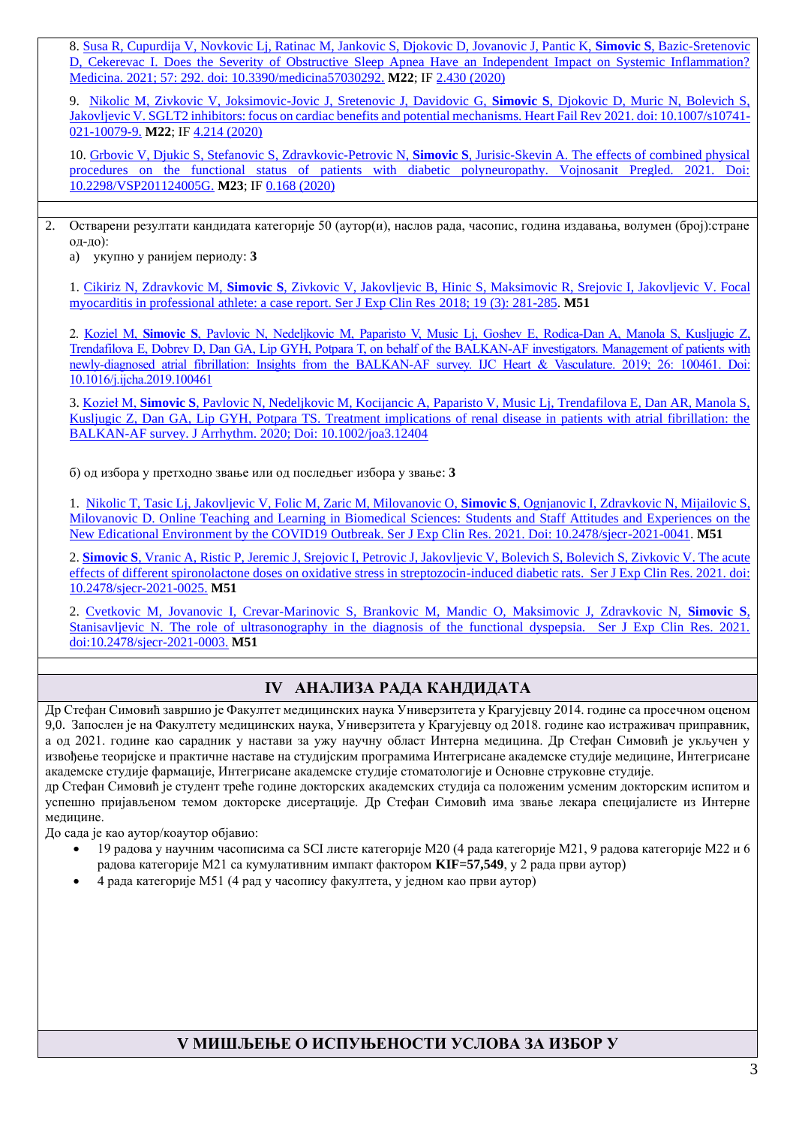8. [Susa R, Cupurdija V, Novkovic Lj, Ratinac M, Jankovic S, Djokovic D, Jovanovic J, Pantic K,](file:///C:/Users/Ivan%20Srejovic/AppData/Local/Temp/7zO4229DF4A/III%20REZULTATI%20NAUCNOG%20RADA/M20/od%20izbora%20u%20prethodno%20zvanje%20ili%20od%20poslednjeg%20izbora%20u%20zvanje/7.pdf) **Simovic S**, Bazic-Sretenovic [D, Cekerevac I. Does the Severity of Obstructive Sleep Apnea Have an Independent Impact on Systemic Inflammation?](file:///C:/Users/Ivan%20Srejovic/AppData/Local/Temp/7zO4229DF4A/III%20REZULTATI%20NAUCNOG%20RADA/M20/od%20izbora%20u%20prethodno%20zvanje%20ili%20od%20poslednjeg%20izbora%20u%20zvanje/7.pdf)  [Medicina. 2021; 57: 292. doi: 10.3390/medicina57030292.](file:///C:/Users/Ivan%20Srejovic/AppData/Local/Temp/7zO4229DF4A/III%20REZULTATI%20NAUCNOG%20RADA/M20/od%20izbora%20u%20prethodno%20zvanje%20ili%20od%20poslednjeg%20izbora%20u%20zvanje/7.pdf) **M22**; IF [2.430 \(2020\)](https://ezproxy.nb.rs:2058/servisi.131.html?jid=365249)

9. [Nikolic M, Zivkovic V, Joksimovic-Jovic J, Sretenovic J, Davidovic G,](file:///C:/Users/Ivan%20Srejovic/AppData/Local/Temp/7zO4229DF4A/III%20REZULTATI%20NAUCNOG%20RADA/M20/od%20izbora%20u%20prethodno%20zvanje%20ili%20od%20poslednjeg%20izbora%20u%20zvanje/8.pdf) **Simovic S**, Djokovic D, Muric N, Bolevich S, [Jakovljevic V. SGLT2 inhibitors: focus on cardiac benefits and potential mechanisms. Heart Fail Rev 2021. doi: 10.1007/s10741-](file:///C:/Users/Ivan%20Srejovic/AppData/Local/Temp/7zO4229DF4A/III%20REZULTATI%20NAUCNOG%20RADA/M20/od%20izbora%20u%20prethodno%20zvanje%20ili%20od%20poslednjeg%20izbora%20u%20zvanje/8.pdf) [021-10079-9.](file:///C:/Users/Ivan%20Srejovic/AppData/Local/Temp/7zO4229DF4A/III%20REZULTATI%20NAUCNOG%20RADA/M20/od%20izbora%20u%20prethodno%20zvanje%20ili%20od%20poslednjeg%20izbora%20u%20zvanje/8.pdf) **M22**; IF [4.214 \(2020\)](https://ezproxy.nb.rs:2058/servisi.131.html?jid=360944)

10. [Grbovic V, Djukic S, Stefanovic S, Zdravkovic-Petrovic N,](file:///C:/Users/Ivan%20Srejovic/AppData/Local/Temp/7zO4229DF4A/III%20REZULTATI%20NAUCNOG%20RADA/M20/od%20izbora%20u%20prethodno%20zvanje%20ili%20od%20poslednjeg%20izbora%20u%20zvanje/9.pdf) **Simovic S**, Jurisic-Skevin A. The effects of combined physical [procedures on the functional status of patients with diabetic polyneuropathy. Vojnosanit Pregled. 2021. Doi:](file:///C:/Users/Ivan%20Srejovic/AppData/Local/Temp/7zO4229DF4A/III%20REZULTATI%20NAUCNOG%20RADA/M20/od%20izbora%20u%20prethodno%20zvanje%20ili%20od%20poslednjeg%20izbora%20u%20zvanje/9.pdf)  [10.2298/VSP201124005G.](file:///C:/Users/Ivan%20Srejovic/AppData/Local/Temp/7zO4229DF4A/III%20REZULTATI%20NAUCNOG%20RADA/M20/od%20izbora%20u%20prethodno%20zvanje%20ili%20od%20poslednjeg%20izbora%20u%20zvanje/9.pdf) **M23**; IF [0.168 \(2020\)](https://ezproxy.nb.rs:2058/servisi.131.html?jid=377773)

2. Остварени резултати кандидата категорије 50 (аутор(и), наслов рада, часопис, година издавања, волумен (број):стране од-до):

a) укупно у ранијем периоду: **3**

1. Cikiriz N, Zdravkovic M, **Simovic S**[, Zivkovic V, Jakovljevic B, Hinic S, Maksimovic R, Srejovic I, Jakovljevic](file:///C:/Users/Ivan%20Srejovic/AppData/Local/Temp/7zO4229DF4A/III%20REZULTATI%20NAUCNOG%20RADA/M50/raniji%20period/1.pdf) V. Focal [myocarditis in professional athlete: a case report. Ser J Exp Clin Res 2018; 19 \(3\): 281-285.](file:///C:/Users/Ivan%20Srejovic/AppData/Local/Temp/7zO4229DF4A/III%20REZULTATI%20NAUCNOG%20RADA/M50/raniji%20period/1.pdf) **M51**

2. Koziel M, **Simovic S**[, Pavlovic N, Nedeljkovic M, Paparisto V, Music Lj, Goshev E, Rodica-Dan A, Manola S, Kusljugic Z,](file:///C:/Users/Ivan%20Srejovic/AppData/Local/Temp/7zO4229DF4A/III%20REZULTATI%20NAUCNOG%20RADA/M50/raniji%20period/2.pdf)  [Trendafilova E, Dobrev D, Dan GA, Lip GYH, Potpara T, on behalf of the BALKAN-AF investigators. Management of patients with](file:///C:/Users/Ivan%20Srejovic/AppData/Local/Temp/7zO4229DF4A/III%20REZULTATI%20NAUCNOG%20RADA/M50/raniji%20period/2.pdf)  [newly-diagnosed atrial fibrillation: Insights from the BALKAN-AF survey. IJC Heart & Vasculature. 2019; 26: 100461. Doi:](file:///C:/Users/Ivan%20Srejovic/AppData/Local/Temp/7zO4229DF4A/III%20REZULTATI%20NAUCNOG%20RADA/M50/raniji%20period/2.pdf)  [10.1016/j.ijcha.2019.100461](file:///C:/Users/Ivan%20Srejovic/AppData/Local/Temp/7zO4229DF4A/III%20REZULTATI%20NAUCNOG%20RADA/M50/raniji%20period/2.pdf)

3. Kozieł M, **Simovic S**[, Pavlovic N, Nedeljkovic M, Kocijancic A, Paparisto V, Music Lj, Trendafilova E, Dan AR, Manola S,](file:///C:/Users/Ivan%20Srejovic/AppData/Local/Temp/7zO4229DF4A/III%20REZULTATI%20NAUCNOG%20RADA/M50/raniji%20period/3.pdf)  [Kusljugic Z, Dan GA, Lip GYH, Potpara TS. Treatment implications of renal disease in patients with atrial fibrillation: the](file:///C:/Users/Ivan%20Srejovic/AppData/Local/Temp/7zO4229DF4A/III%20REZULTATI%20NAUCNOG%20RADA/M50/raniji%20period/3.pdf)  [BALKAN-AF survey. J Arrhythm. 2020; Doi: 10.1002/joa3.12404](file:///C:/Users/Ivan%20Srejovic/AppData/Local/Temp/7zO4229DF4A/III%20REZULTATI%20NAUCNOG%20RADA/M50/raniji%20period/3.pdf)

б) од избора у претходно звање или од последњег избора у звање: **3**

1. [Nikolic T, Tasic Lj, Jakovljevic V, Folic M, Zaric M, Milovanovic O,](file:///C:/Users/Ivan%20Srejovic/AppData/Local/Temp/7zO4229DF4A/III%20REZULTATI%20NAUCNOG%20RADA/M50/od%20izbora%20u%20prethodno%20zvanje%20ili%20od%20poslednjeg%20izbora%20u%20zvanje/1.pdf) **Simovic S**, Ognjanovic I, Zdravkovic N, Mijailovic S, Milovanovic [D. Online Teaching and Learning in Biomedical Sciences:](file:///C:/Users/Ivan%20Srejovic/AppData/Local/Temp/7zO4229DF4A/III%20REZULTATI%20NAUCNOG%20RADA/M50/od%20izbora%20u%20prethodno%20zvanje%20ili%20od%20poslednjeg%20izbora%20u%20zvanje/1.pdf) Students and Staff Attitudes and Experiences on the New Edicational Environment by the COVID19 [Outbreak. Ser J Exp Clin Res. 2021. Doi: 10.2478/sjecr-2021-0041.](file:///C:/Users/Ivan%20Srejovic/AppData/Local/Temp/7zO4229DF4A/III%20REZULTATI%20NAUCNOG%20RADA/M50/od%20izbora%20u%20prethodno%20zvanje%20ili%20od%20poslednjeg%20izbora%20u%20zvanje/1.pdf) **M51**

2. **Simovic S**[, Vranic A, Ristic P, Jeremic J, Srejovic I, Petrovic J, Jakovljevic V, Bolevich S, Bolevich S, Zivkovic V. The acute](file:///C:/Users/Ivan%20Srejovic/AppData/Local/Temp/7zO4229DF4A/III%20REZULTATI%20NAUCNOG%20RADA/M50/od%20izbora%20u%20prethodno%20zvanje%20ili%20od%20poslednjeg%20izbora%20u%20zvanje/1.pdf)  [effects of different spironolactone doses on oxidative stress in streptozocin-induced diabetic rats. Ser J Exp Clin Res. 2021. doi:](file:///C:/Users/Ivan%20Srejovic/AppData/Local/Temp/7zO4229DF4A/III%20REZULTATI%20NAUCNOG%20RADA/M50/od%20izbora%20u%20prethodno%20zvanje%20ili%20od%20poslednjeg%20izbora%20u%20zvanje/1.pdf)  [10.2478/sjecr-2021-0025.](file:///C:/Users/Ivan%20Srejovic/AppData/Local/Temp/7zO4229DF4A/III%20REZULTATI%20NAUCNOG%20RADA/M50/od%20izbora%20u%20prethodno%20zvanje%20ili%20od%20poslednjeg%20izbora%20u%20zvanje/1.pdf) **M51**

2. Cvetkovic M, Jovanovic I, Crevar-Marinovic [S, Brankovic M, Mandic O, Maksimovic J, Zdravkovic N,](file:///C:/Users/Ivan%20Srejovic/AppData/Local/Temp/7zO4229DF4A/III%20REZULTATI%20NAUCNOG%20RADA/M50/od%20izbora%20u%20prethodno%20zvanje%20ili%20od%20poslednjeg%20izbora%20u%20zvanje/2.pdf) **Simovic S**, [Stanisavljevic N. The role of ultrasonography in the diagnosis of the functional dyspepsia. Ser J Exp Clin Res. 2021.](file:///C:/Users/Ivan%20Srejovic/AppData/Local/Temp/7zO4229DF4A/III%20REZULTATI%20NAUCNOG%20RADA/M50/od%20izbora%20u%20prethodno%20zvanje%20ili%20od%20poslednjeg%20izbora%20u%20zvanje/2.pdf)  [doi:10.2478/sjecr-2021-0003.](file:///C:/Users/Ivan%20Srejovic/AppData/Local/Temp/7zO4229DF4A/III%20REZULTATI%20NAUCNOG%20RADA/M50/od%20izbora%20u%20prethodno%20zvanje%20ili%20od%20poslednjeg%20izbora%20u%20zvanje/2.pdf) **M51**

## **IV АНАЛИЗА РАДА КАНДИДАТА**

Др Стефан Симовић завршио је Факултет медицинских наука Универзитета у Крагујевцу 2014. године са просечном оценом 9,0. Запослен је на Факултету медицинских наука, Универзитета у Крагујевцу од 2018. године као истраживач приправник, а од 2021. године као сарадник у настави за ужу научну област Интерна медицина. Др Стефан Симовић је укључен у извођење теоријске и практичне наставе на студијским програмима Интегрисане академске студије медицине, Интегрисане академске студије фармације, Интегрисане академске студије стоматологије и Основне струковне студије.

др Стефан Симовић је студент треће године докторских академских студија са положеним усменим докторским испитом и успешно пријављеном темом докторске дисертације. Др Стефан Симовић има звање лекара специјалисте из Интерне медицине.

До сада је као аутор/коаутор објавио:

- 19 радова у научним часописима са SCI листе категорије М20 (4 рада категорије М21, 9 радова категорије М22 и 6 радова категорије М21 са кумулативним импакт фактором **KIF=57,549**, у 2 рада први аутор)
- 4 рада категорије М51 (4 рад у часопису факултета, у једном као први аутор)

## **V МИШЉЕЊЕ О ИСПУЊЕНОСТИ УСЛОВА ЗА ИЗБОР У**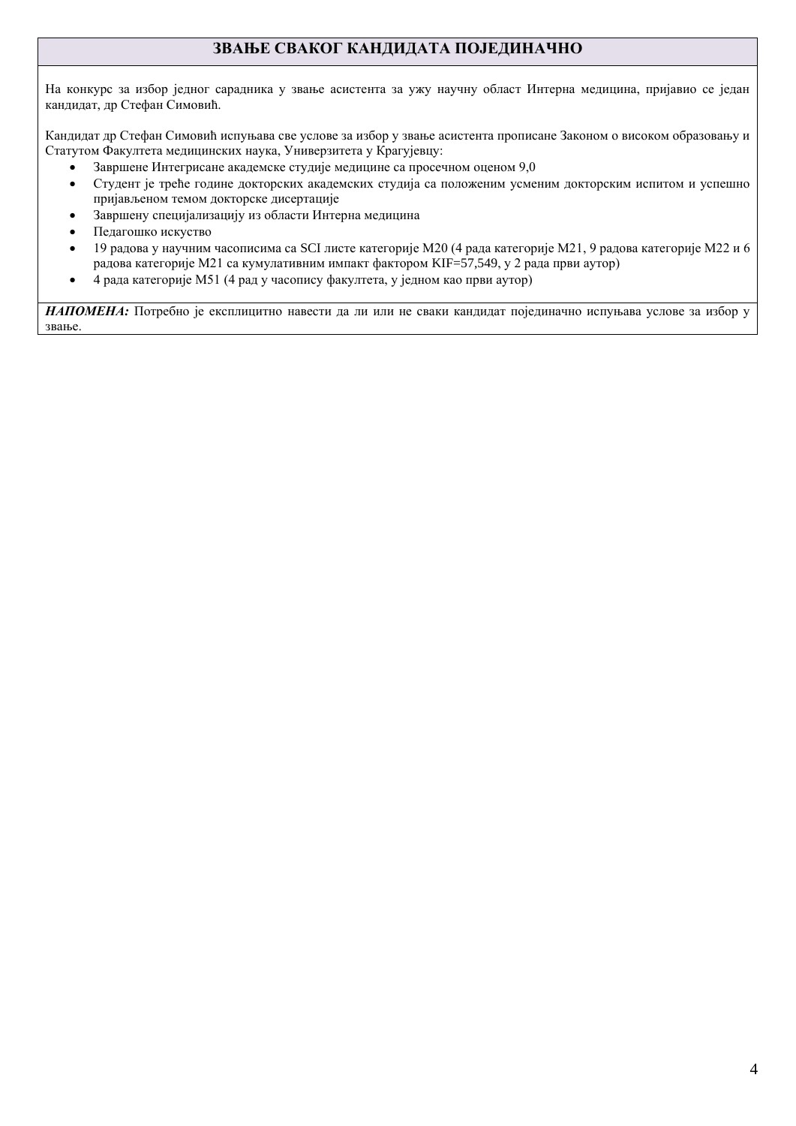## **ЗВАЊЕ СВАКОГ КАНДИДАТА ПОЈЕДИНАЧНО**

На конкурс за избор једног сарадника у звање асистента за ужу научну област Интерна медицина, пријавио се један кандидат, др Стефан Симовић.

Кандидат др Стефан Симовић испуњава све услове за избор у звање асистента прописане Законом о високом образовању и Статутом Факултета медицинских наука, Универзитета у Крагујевцу:

- Завршене Интегрисане академске студије медицине са просечном оценом 9,0
- Студент је треће године докторских академских студија са положеним усменим докторским испитом и успешно пријављеном темом докторске дисертације
- Завршену специјализацију из области Интерна медицина
- Педагошко искуство
- 19 радова у научним часописима са SCI листе категорије М20 (4 рада категорије М21, 9 радова категорије М22 и 6 радова категорије М21 са кумулативним импакт фактором KIF=57,549, у 2 рада први аутор)
- 4 рада категорије М51 (4 рад у часопису факултета, у једном као први аутор)

*НАПОМЕНА:* Потребно је експлицитно навести да ли или не сваки кандидат појединачно испуњава услове за избор у звање.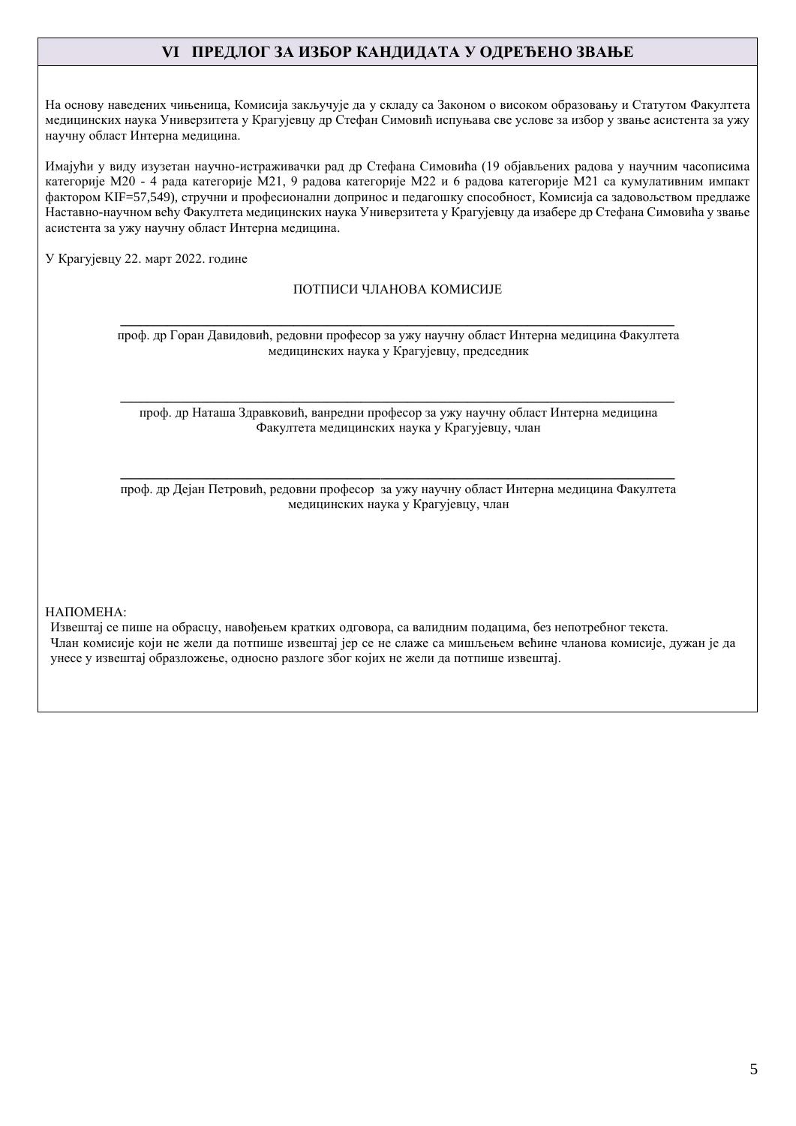## **VI ПРЕДЛОГ ЗА ИЗБОР КАНДИДАТА У ОДРЕЂЕНО ЗВАЊЕ**

На основу наведених чињеница, Комисија закључује да у складу са Законом о високом образовању и Статутом Факултета медицинских наука Универзитета у Крагујевцу др Стефан Симовић испуњава све услове за избор у звање асистента за ужу научну област Интерна медицина.

Имајући у виду изузетан научно-истраживачки рад др Стефана Симовића (19 објављених радова у научним часописима категорије М20 - 4 рада категорије М21, 9 радова категорије М22 и 6 радова категорије М21 са кумулативним импакт фактором KIF=57,549), стручни и професионални допринос и педагошку способност, Комисија са задовољством предлаже Наставно-научном већу Факултета медицинских наука Универзитета у Крагујевцу да изабере др Стефана Симовића у звање асистента за ужу научну област Интерна медицина.

У Крагујевцу 22. март 2022. године

#### ПОТПИСИ ЧЛАНОВА КОМИСИЈЕ

**\_\_\_\_\_\_\_\_\_\_\_\_\_\_\_\_\_\_\_\_\_\_\_\_\_\_\_\_\_\_\_\_\_\_\_\_\_\_\_\_\_\_\_\_\_\_\_\_\_\_\_\_\_\_\_\_\_\_\_\_\_\_\_\_\_\_\_\_\_\_\_\_\_\_\_\_\_\_\_\_\_\_\_** проф. др Горан Давидовић, редовни професор за ужу научну област Интерна медицина Факултета медицинских наука у Крагујевцу, председник

**\_\_\_\_\_\_\_\_\_\_\_\_\_\_\_\_\_\_\_\_\_\_\_\_\_\_\_\_\_\_\_\_\_\_\_\_\_\_\_\_\_\_\_\_\_\_\_\_\_\_\_\_\_\_\_\_\_\_\_\_\_\_\_\_\_\_\_\_\_\_\_\_\_\_\_\_\_\_\_\_\_\_\_** проф. др Наташа Здравковић, ванредни професор за ужу научну област Интерна медицина Факултета медицинских наука у Крагујевцу, члан

**\_\_\_\_\_\_\_\_\_\_\_\_\_\_\_\_\_\_\_\_\_\_\_\_\_\_\_\_\_\_\_\_\_\_\_\_\_\_\_\_\_\_\_\_\_\_\_\_\_\_\_\_\_\_\_\_\_\_\_\_\_\_\_\_\_\_\_\_\_\_\_\_\_\_\_\_\_\_\_\_\_\_\_** проф. др Дејан Петровић, редовни професор за ужу научну област Интерна медицина Факултета медицинских наука у Крагујевцу, члан

НАПОМЕНА:

Извештај се пише на обрасцу, навођењем кратких одговора, са валидним подацима, без непотребног текста. Члан комисије који не жели да потпише извештај јер се не слаже са мишљењем већине чланова комисије, дужан је да унесе у извештај образложење, односно разлоге због којих не жели да потпише извештај.